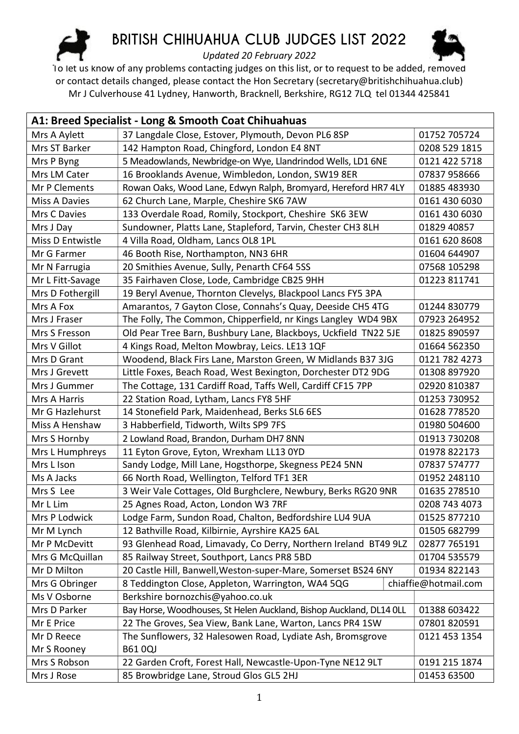

## BRITISH CHIHUAHUA CLUB JUDGES LIST 2022



Updated 20 February 2022

To let us know of any problems contacting judges on this list, or to request to be added, removed or contact details changed, please contact the Hon Secretary (secretary@britishchihuahua.club) Mr J Culverhouse 41 Lydney, Hanworth, Bracknell, Berkshire, RG12 7LQ tel 01344 425841

| A1: Breed Specialist - Long & Smooth Coat Chihuahuas |                                                                     |                      |
|------------------------------------------------------|---------------------------------------------------------------------|----------------------|
| Mrs A Aylett                                         | 37 Langdale Close, Estover, Plymouth, Devon PL6 8SP                 | 01752 705724         |
| Mrs ST Barker                                        | 142 Hampton Road, Chingford, London E4 8NT                          | 0208 529 1815        |
| Mrs P Byng                                           | 5 Meadowlands, Newbridge-on Wye, Llandrindod Wells, LD1 6NE         | 0121 422 5718        |
| Mrs LM Cater                                         | 16 Brooklands Avenue, Wimbledon, London, SW19 8ER                   | 07837 958666         |
| Mr P Clements                                        | Rowan Oaks, Wood Lane, Edwyn Ralph, Bromyard, Hereford HR7 4LY      | 01885 483930         |
| Miss A Davies                                        | 62 Church Lane, Marple, Cheshire SK6 7AW                            | 0161 430 6030        |
| Mrs C Davies                                         | 133 Overdale Road, Romily, Stockport, Cheshire SK6 3EW              | 0161 430 6030        |
| Mrs J Day                                            | Sundowner, Platts Lane, Stapleford, Tarvin, Chester CH3 8LH         | 01829 40857          |
| Miss D Entwistle                                     | 4 Villa Road, Oldham, Lancs OL8 1PL                                 | 0161 620 8608        |
| Mr G Farmer                                          | 46 Booth Rise, Northampton, NN3 6HR                                 | 01604 644907         |
| Mr N Farrugia                                        | 20 Smithies Avenue, Sully, Penarth CF64 5SS                         | 07568 105298         |
| Mr L Fitt-Savage                                     | 35 Fairhaven Close, Lode, Cambridge CB25 9HH                        | 01223 811741         |
| Mrs D Fothergill                                     | 19 Beryl Avenue, Thornton Clevelys, Blackpool Lancs FY5 3PA         |                      |
| Mrs A Fox                                            | Amarantos, 7 Gayton Close, Connahs's Quay, Deeside CH5 4TG          | 01244 830779         |
| Mrs J Fraser                                         | The Folly, The Common, Chipperfield, nr Kings Langley WD4 9BX       | 07923 264952         |
| Mrs S Fresson                                        | Old Pear Tree Barn, Bushbury Lane, Blackboys, Uckfield TN22 5JE     | 01825 890597         |
| Mrs V Gillot                                         | 4 Kings Road, Melton Mowbray, Leics. LE13 1QF                       | 01664 562350         |
| Mrs D Grant                                          | Woodend, Black Firs Lane, Marston Green, W Midlands B37 3JG         | 0121 782 4273        |
| Mrs J Grevett                                        | Little Foxes, Beach Road, West Bexington, Dorchester DT2 9DG        | 01308 897920         |
| Mrs J Gummer                                         | The Cottage, 131 Cardiff Road, Taffs Well, Cardiff CF15 7PP         | 02920 810387         |
| Mrs A Harris                                         | 22 Station Road, Lytham, Lancs FY8 5HF                              | 01253 730952         |
| Mr G Hazlehurst                                      | 14 Stonefield Park, Maidenhead, Berks SL6 6ES                       | 01628 778520         |
| Miss A Henshaw                                       | 3 Habberfield, Tidworth, Wilts SP9 7FS                              | 01980 504600         |
| Mrs S Hornby                                         | 2 Lowland Road, Brandon, Durham DH7 8NN                             | 01913 730208         |
| Mrs L Humphreys                                      | 11 Eyton Grove, Eyton, Wrexham LL13 0YD                             | 01978 822173         |
| Mrs L Ison                                           | Sandy Lodge, Mill Lane, Hogsthorpe, Skegness PE24 5NN               | 07837 574777         |
| Ms A Jacks                                           | 66 North Road, Wellington, Telford TF1 3ER                          | 01952 248110         |
| Mrs S Lee                                            | 3 Weir Vale Cottages, Old Burghclere, Newbury, Berks RG20 9NR       | 01635 278510         |
| Mr L Lim                                             | 25 Agnes Road, Acton, London W3 7RF                                 | 0208 743 4073        |
| Mrs P Lodwick                                        | Lodge Farm, Sundon Road, Chalton, Bedfordshire LU4 9UA              | 01525 877210         |
| Mr M Lynch                                           | 12 Bathville Road, Kilbirnie, Ayrshire KA25 6AL                     | 01505 682799         |
| Mr P McDevitt                                        | 93 Glenhead Road, Limavady, Co Derry, Northern Ireland BT49 9LZ     | 02877 765191         |
| Mrs G McQuillan                                      | 85 Railway Street, Southport, Lancs PR8 5BD                         | 01704 535579         |
| Mr D Milton                                          | 20 Castle Hill, Banwell, Weston-super-Mare, Somerset BS24 6NY       | 01934 822143         |
| Mrs G Obringer                                       | 8 Teddington Close, Appleton, Warrington, WA4 5QG                   | chiaffie@hotmail.com |
| Ms V Osborne                                         | Berkshire bornozchis@yahoo.co.uk                                    |                      |
| Mrs D Parker                                         | Bay Horse, Woodhouses, St Helen Auckland, Bishop Auckland, DL14 OLL | 01388 603422         |
| Mr E Price                                           | 22 The Groves, Sea View, Bank Lane, Warton, Lancs PR4 1SW           | 07801820591          |
| Mr D Reece                                           | The Sunflowers, 32 Halesowen Road, Lydiate Ash, Bromsgrove          | 0121 453 1354        |
| Mr S Rooney                                          | <b>B61 0QJ</b>                                                      |                      |
| Mrs S Robson                                         | 22 Garden Croft, Forest Hall, Newcastle-Upon-Tyne NE12 9LT          | 0191 215 1874        |
| Mrs J Rose                                           | 85 Browbridge Lane, Stroud Glos GL5 2HJ                             | 01453 63500          |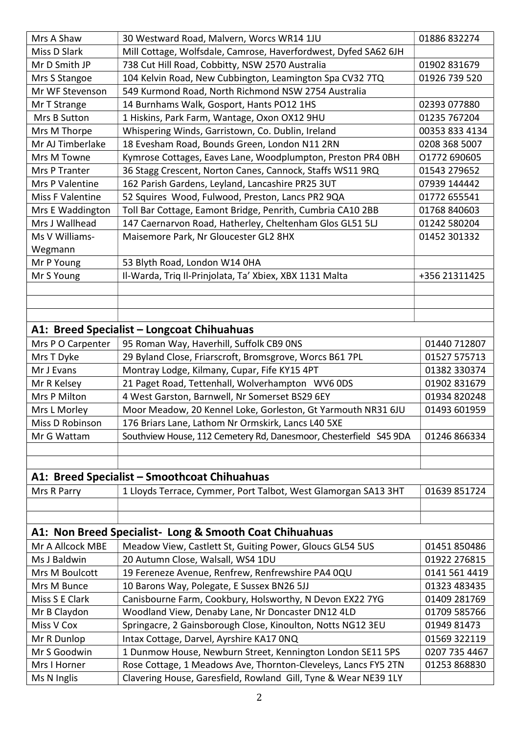| Miss D Slark<br>Mill Cottage, Wolfsdale, Camrose, Haverfordwest, Dyfed SA62 6JH<br>Mr D Smith JP<br>738 Cut Hill Road, Cobbitty, NSW 2570 Australia<br>01902 831679<br>104 Kelvin Road, New Cubbington, Leamington Spa CV32 7TQ<br>01926 739 520<br>Mrs S Stangoe<br>Mr WF Stevenson<br>549 Kurmond Road, North Richmond NSW 2754 Australia<br>14 Burnhams Walk, Gosport, Hants PO12 1HS<br>02393 077880<br>Mr T Strange<br>01235 767204<br>Mrs B Sutton<br>1 Hiskins, Park Farm, Wantage, Oxon OX12 9HU<br>Whispering Winds, Garristown, Co. Dublin, Ireland<br>00353 833 4134<br>Mrs M Thorpe<br>18 Evesham Road, Bounds Green, London N11 2RN<br>Mr AJ Timberlake<br>0208 368 5007<br>Kymrose Cottages, Eaves Lane, Woodplumpton, Preston PR4 0BH<br>01772 690605<br>Mrs M Towne<br>36 Stagg Crescent, Norton Canes, Cannock, Staffs WS11 9RQ<br>01543 279652<br>Mrs P Tranter<br>Mrs P Valentine<br>162 Parish Gardens, Leyland, Lancashire PR25 3UT<br>07939 144442<br>52 Squires Wood, Fulwood, Preston, Lancs PR2 9QA<br>Miss F Valentine<br>01772 655541<br>Toll Bar Cottage, Eamont Bridge, Penrith, Cumbria CA10 2BB<br>01768 840603<br>Mrs E Waddington<br>Mrs J Wallhead<br>147 Caernarvon Road, Hatherley, Cheltenham Glos GL51 5LJ<br>01242 580204<br>Ms V Williams-<br>Maisemore Park, Nr Gloucester GL2 8HX<br>01452 301332<br>Wegmann<br>53 Blyth Road, London W14 0HA<br>Mr P Young<br>Il-Warda, Triq Il-Prinjolata, Ta' Xbiex, XBX 1131 Malta<br>Mr S Young<br>+356 21311425<br>A1: Breed Specialist – Longcoat Chihuahuas<br>Mrs P O Carpenter<br>95 Roman Way, Haverhill, Suffolk CB9 ONS<br>01440 712807<br>29 Byland Close, Friarscroft, Bromsgrove, Worcs B61 7PL<br>Mrs T Dyke<br>01527 575713<br>Montray Lodge, Kilmany, Cupar, Fife KY15 4PT<br>01382 330374<br>Mr J Evans<br>21 Paget Road, Tettenhall, Wolverhampton WV6 0DS<br>Mr R Kelsey<br>01902 831679<br>Mrs P Milton<br>4 West Garston, Barnwell, Nr Somerset BS29 6EY<br>01934 820248<br>Mrs L Morley<br>Moor Meadow, 20 Kennel Loke, Gorleston, Gt Yarmouth NR31 6JU<br>01493 601959<br>176 Briars Lane, Lathom Nr Ormskirk, Lancs L40 5XE<br>Miss D Robinson<br>Southview House, 112 Cemetery Rd, Danesmoor, Chesterfield S45 9DA<br>01246 866334<br>Mr G Wattam<br>A1: Breed Specialist - Smoothcoat Chihuahuas<br>1 Lloyds Terrace, Cymmer, Port Talbot, West Glamorgan SA13 3HT<br>Mrs R Parry<br>01639 851724<br>A1: Non Breed Specialist- Long & Smooth Coat Chihuahuas<br>Meadow View, Castlett St, Guiting Power, Gloucs GL54 5US<br>Mr A Allcock MBE<br>01451 850486<br>Ms J Baldwin<br>20 Autumn Close, Walsall, WS4 1DU<br>01922 276815<br>Mrs M Boulcott<br>19 Fereneze Avenue, Renfrew, Renfrewshire PA4 0QU<br>0141 561 4419<br>10 Barons Way, Polegate, E Sussex BN26 5JJ<br>01323 483435<br>Mrs M Bunce<br>Miss S E Clark<br>Canisbourne Farm, Cookbury, Holsworthy, N Devon EX22 7YG<br>01409 281769<br>Woodland View, Denaby Lane, Nr Doncaster DN12 4LD<br>01709 585766<br>Mr B Claydon<br>Miss V Cox<br>Springacre, 2 Gainsborough Close, Kinoulton, Notts NG12 3EU<br>01949 81473<br>Intax Cottage, Darvel, Ayrshire KA17 ONQ<br>Mr R Dunlop<br>01569 322119<br>Mr S Goodwin<br>1 Dunmow House, Newburn Street, Kennington London SE11 5PS<br>0207 735 4467<br>Rose Cottage, 1 Meadows Ave, Thornton-Cleveleys, Lancs FY5 2TN<br>01253 868830<br>Mrs I Horner | Mrs A Shaw  | 30 Westward Road, Malvern, Worcs WR14 1JU                       | 01886 832274 |
|--------------------------------------------------------------------------------------------------------------------------------------------------------------------------------------------------------------------------------------------------------------------------------------------------------------------------------------------------------------------------------------------------------------------------------------------------------------------------------------------------------------------------------------------------------------------------------------------------------------------------------------------------------------------------------------------------------------------------------------------------------------------------------------------------------------------------------------------------------------------------------------------------------------------------------------------------------------------------------------------------------------------------------------------------------------------------------------------------------------------------------------------------------------------------------------------------------------------------------------------------------------------------------------------------------------------------------------------------------------------------------------------------------------------------------------------------------------------------------------------------------------------------------------------------------------------------------------------------------------------------------------------------------------------------------------------------------------------------------------------------------------------------------------------------------------------------------------------------------------------------------------------------------------------------------------------------------------------------------------------------------------------------------------------------------------------------------------------------------------------------------------------------------------------------------------------------------------------------------------------------------------------------------------------------------------------------------------------------------------------------------------------------------------------------------------------------------------------------------------------------------------------------------------------------------------------------------------------------------------------------------------------------------------------------------------------------------------------------------------------------------------------------------------------------------------------------------------------------------------------------------------------------------------------------------------------------------------------------------------------------------------------------------------------------------------------------------------------------------------------------------------------------------------------------------------------------------------------------------------------------------------------------------------------------------------------------------------------------------------------------|-------------|-----------------------------------------------------------------|--------------|
|                                                                                                                                                                                                                                                                                                                                                                                                                                                                                                                                                                                                                                                                                                                                                                                                                                                                                                                                                                                                                                                                                                                                                                                                                                                                                                                                                                                                                                                                                                                                                                                                                                                                                                                                                                                                                                                                                                                                                                                                                                                                                                                                                                                                                                                                                                                                                                                                                                                                                                                                                                                                                                                                                                                                                                                                                                                                                                                                                                                                                                                                                                                                                                                                                                                                                                                                                                          |             |                                                                 |              |
|                                                                                                                                                                                                                                                                                                                                                                                                                                                                                                                                                                                                                                                                                                                                                                                                                                                                                                                                                                                                                                                                                                                                                                                                                                                                                                                                                                                                                                                                                                                                                                                                                                                                                                                                                                                                                                                                                                                                                                                                                                                                                                                                                                                                                                                                                                                                                                                                                                                                                                                                                                                                                                                                                                                                                                                                                                                                                                                                                                                                                                                                                                                                                                                                                                                                                                                                                                          |             |                                                                 |              |
|                                                                                                                                                                                                                                                                                                                                                                                                                                                                                                                                                                                                                                                                                                                                                                                                                                                                                                                                                                                                                                                                                                                                                                                                                                                                                                                                                                                                                                                                                                                                                                                                                                                                                                                                                                                                                                                                                                                                                                                                                                                                                                                                                                                                                                                                                                                                                                                                                                                                                                                                                                                                                                                                                                                                                                                                                                                                                                                                                                                                                                                                                                                                                                                                                                                                                                                                                                          |             |                                                                 |              |
|                                                                                                                                                                                                                                                                                                                                                                                                                                                                                                                                                                                                                                                                                                                                                                                                                                                                                                                                                                                                                                                                                                                                                                                                                                                                                                                                                                                                                                                                                                                                                                                                                                                                                                                                                                                                                                                                                                                                                                                                                                                                                                                                                                                                                                                                                                                                                                                                                                                                                                                                                                                                                                                                                                                                                                                                                                                                                                                                                                                                                                                                                                                                                                                                                                                                                                                                                                          |             |                                                                 |              |
|                                                                                                                                                                                                                                                                                                                                                                                                                                                                                                                                                                                                                                                                                                                                                                                                                                                                                                                                                                                                                                                                                                                                                                                                                                                                                                                                                                                                                                                                                                                                                                                                                                                                                                                                                                                                                                                                                                                                                                                                                                                                                                                                                                                                                                                                                                                                                                                                                                                                                                                                                                                                                                                                                                                                                                                                                                                                                                                                                                                                                                                                                                                                                                                                                                                                                                                                                                          |             |                                                                 |              |
|                                                                                                                                                                                                                                                                                                                                                                                                                                                                                                                                                                                                                                                                                                                                                                                                                                                                                                                                                                                                                                                                                                                                                                                                                                                                                                                                                                                                                                                                                                                                                                                                                                                                                                                                                                                                                                                                                                                                                                                                                                                                                                                                                                                                                                                                                                                                                                                                                                                                                                                                                                                                                                                                                                                                                                                                                                                                                                                                                                                                                                                                                                                                                                                                                                                                                                                                                                          |             |                                                                 |              |
|                                                                                                                                                                                                                                                                                                                                                                                                                                                                                                                                                                                                                                                                                                                                                                                                                                                                                                                                                                                                                                                                                                                                                                                                                                                                                                                                                                                                                                                                                                                                                                                                                                                                                                                                                                                                                                                                                                                                                                                                                                                                                                                                                                                                                                                                                                                                                                                                                                                                                                                                                                                                                                                                                                                                                                                                                                                                                                                                                                                                                                                                                                                                                                                                                                                                                                                                                                          |             |                                                                 |              |
|                                                                                                                                                                                                                                                                                                                                                                                                                                                                                                                                                                                                                                                                                                                                                                                                                                                                                                                                                                                                                                                                                                                                                                                                                                                                                                                                                                                                                                                                                                                                                                                                                                                                                                                                                                                                                                                                                                                                                                                                                                                                                                                                                                                                                                                                                                                                                                                                                                                                                                                                                                                                                                                                                                                                                                                                                                                                                                                                                                                                                                                                                                                                                                                                                                                                                                                                                                          |             |                                                                 |              |
|                                                                                                                                                                                                                                                                                                                                                                                                                                                                                                                                                                                                                                                                                                                                                                                                                                                                                                                                                                                                                                                                                                                                                                                                                                                                                                                                                                                                                                                                                                                                                                                                                                                                                                                                                                                                                                                                                                                                                                                                                                                                                                                                                                                                                                                                                                                                                                                                                                                                                                                                                                                                                                                                                                                                                                                                                                                                                                                                                                                                                                                                                                                                                                                                                                                                                                                                                                          |             |                                                                 |              |
|                                                                                                                                                                                                                                                                                                                                                                                                                                                                                                                                                                                                                                                                                                                                                                                                                                                                                                                                                                                                                                                                                                                                                                                                                                                                                                                                                                                                                                                                                                                                                                                                                                                                                                                                                                                                                                                                                                                                                                                                                                                                                                                                                                                                                                                                                                                                                                                                                                                                                                                                                                                                                                                                                                                                                                                                                                                                                                                                                                                                                                                                                                                                                                                                                                                                                                                                                                          |             |                                                                 |              |
|                                                                                                                                                                                                                                                                                                                                                                                                                                                                                                                                                                                                                                                                                                                                                                                                                                                                                                                                                                                                                                                                                                                                                                                                                                                                                                                                                                                                                                                                                                                                                                                                                                                                                                                                                                                                                                                                                                                                                                                                                                                                                                                                                                                                                                                                                                                                                                                                                                                                                                                                                                                                                                                                                                                                                                                                                                                                                                                                                                                                                                                                                                                                                                                                                                                                                                                                                                          |             |                                                                 |              |
|                                                                                                                                                                                                                                                                                                                                                                                                                                                                                                                                                                                                                                                                                                                                                                                                                                                                                                                                                                                                                                                                                                                                                                                                                                                                                                                                                                                                                                                                                                                                                                                                                                                                                                                                                                                                                                                                                                                                                                                                                                                                                                                                                                                                                                                                                                                                                                                                                                                                                                                                                                                                                                                                                                                                                                                                                                                                                                                                                                                                                                                                                                                                                                                                                                                                                                                                                                          |             |                                                                 |              |
|                                                                                                                                                                                                                                                                                                                                                                                                                                                                                                                                                                                                                                                                                                                                                                                                                                                                                                                                                                                                                                                                                                                                                                                                                                                                                                                                                                                                                                                                                                                                                                                                                                                                                                                                                                                                                                                                                                                                                                                                                                                                                                                                                                                                                                                                                                                                                                                                                                                                                                                                                                                                                                                                                                                                                                                                                                                                                                                                                                                                                                                                                                                                                                                                                                                                                                                                                                          |             |                                                                 |              |
|                                                                                                                                                                                                                                                                                                                                                                                                                                                                                                                                                                                                                                                                                                                                                                                                                                                                                                                                                                                                                                                                                                                                                                                                                                                                                                                                                                                                                                                                                                                                                                                                                                                                                                                                                                                                                                                                                                                                                                                                                                                                                                                                                                                                                                                                                                                                                                                                                                                                                                                                                                                                                                                                                                                                                                                                                                                                                                                                                                                                                                                                                                                                                                                                                                                                                                                                                                          |             |                                                                 |              |
|                                                                                                                                                                                                                                                                                                                                                                                                                                                                                                                                                                                                                                                                                                                                                                                                                                                                                                                                                                                                                                                                                                                                                                                                                                                                                                                                                                                                                                                                                                                                                                                                                                                                                                                                                                                                                                                                                                                                                                                                                                                                                                                                                                                                                                                                                                                                                                                                                                                                                                                                                                                                                                                                                                                                                                                                                                                                                                                                                                                                                                                                                                                                                                                                                                                                                                                                                                          |             |                                                                 |              |
|                                                                                                                                                                                                                                                                                                                                                                                                                                                                                                                                                                                                                                                                                                                                                                                                                                                                                                                                                                                                                                                                                                                                                                                                                                                                                                                                                                                                                                                                                                                                                                                                                                                                                                                                                                                                                                                                                                                                                                                                                                                                                                                                                                                                                                                                                                                                                                                                                                                                                                                                                                                                                                                                                                                                                                                                                                                                                                                                                                                                                                                                                                                                                                                                                                                                                                                                                                          |             |                                                                 |              |
|                                                                                                                                                                                                                                                                                                                                                                                                                                                                                                                                                                                                                                                                                                                                                                                                                                                                                                                                                                                                                                                                                                                                                                                                                                                                                                                                                                                                                                                                                                                                                                                                                                                                                                                                                                                                                                                                                                                                                                                                                                                                                                                                                                                                                                                                                                                                                                                                                                                                                                                                                                                                                                                                                                                                                                                                                                                                                                                                                                                                                                                                                                                                                                                                                                                                                                                                                                          |             |                                                                 |              |
|                                                                                                                                                                                                                                                                                                                                                                                                                                                                                                                                                                                                                                                                                                                                                                                                                                                                                                                                                                                                                                                                                                                                                                                                                                                                                                                                                                                                                                                                                                                                                                                                                                                                                                                                                                                                                                                                                                                                                                                                                                                                                                                                                                                                                                                                                                                                                                                                                                                                                                                                                                                                                                                                                                                                                                                                                                                                                                                                                                                                                                                                                                                                                                                                                                                                                                                                                                          |             |                                                                 |              |
|                                                                                                                                                                                                                                                                                                                                                                                                                                                                                                                                                                                                                                                                                                                                                                                                                                                                                                                                                                                                                                                                                                                                                                                                                                                                                                                                                                                                                                                                                                                                                                                                                                                                                                                                                                                                                                                                                                                                                                                                                                                                                                                                                                                                                                                                                                                                                                                                                                                                                                                                                                                                                                                                                                                                                                                                                                                                                                                                                                                                                                                                                                                                                                                                                                                                                                                                                                          |             |                                                                 |              |
|                                                                                                                                                                                                                                                                                                                                                                                                                                                                                                                                                                                                                                                                                                                                                                                                                                                                                                                                                                                                                                                                                                                                                                                                                                                                                                                                                                                                                                                                                                                                                                                                                                                                                                                                                                                                                                                                                                                                                                                                                                                                                                                                                                                                                                                                                                                                                                                                                                                                                                                                                                                                                                                                                                                                                                                                                                                                                                                                                                                                                                                                                                                                                                                                                                                                                                                                                                          |             |                                                                 |              |
|                                                                                                                                                                                                                                                                                                                                                                                                                                                                                                                                                                                                                                                                                                                                                                                                                                                                                                                                                                                                                                                                                                                                                                                                                                                                                                                                                                                                                                                                                                                                                                                                                                                                                                                                                                                                                                                                                                                                                                                                                                                                                                                                                                                                                                                                                                                                                                                                                                                                                                                                                                                                                                                                                                                                                                                                                                                                                                                                                                                                                                                                                                                                                                                                                                                                                                                                                                          |             |                                                                 |              |
|                                                                                                                                                                                                                                                                                                                                                                                                                                                                                                                                                                                                                                                                                                                                                                                                                                                                                                                                                                                                                                                                                                                                                                                                                                                                                                                                                                                                                                                                                                                                                                                                                                                                                                                                                                                                                                                                                                                                                                                                                                                                                                                                                                                                                                                                                                                                                                                                                                                                                                                                                                                                                                                                                                                                                                                                                                                                                                                                                                                                                                                                                                                                                                                                                                                                                                                                                                          |             |                                                                 |              |
|                                                                                                                                                                                                                                                                                                                                                                                                                                                                                                                                                                                                                                                                                                                                                                                                                                                                                                                                                                                                                                                                                                                                                                                                                                                                                                                                                                                                                                                                                                                                                                                                                                                                                                                                                                                                                                                                                                                                                                                                                                                                                                                                                                                                                                                                                                                                                                                                                                                                                                                                                                                                                                                                                                                                                                                                                                                                                                                                                                                                                                                                                                                                                                                                                                                                                                                                                                          |             |                                                                 |              |
|                                                                                                                                                                                                                                                                                                                                                                                                                                                                                                                                                                                                                                                                                                                                                                                                                                                                                                                                                                                                                                                                                                                                                                                                                                                                                                                                                                                                                                                                                                                                                                                                                                                                                                                                                                                                                                                                                                                                                                                                                                                                                                                                                                                                                                                                                                                                                                                                                                                                                                                                                                                                                                                                                                                                                                                                                                                                                                                                                                                                                                                                                                                                                                                                                                                                                                                                                                          |             |                                                                 |              |
|                                                                                                                                                                                                                                                                                                                                                                                                                                                                                                                                                                                                                                                                                                                                                                                                                                                                                                                                                                                                                                                                                                                                                                                                                                                                                                                                                                                                                                                                                                                                                                                                                                                                                                                                                                                                                                                                                                                                                                                                                                                                                                                                                                                                                                                                                                                                                                                                                                                                                                                                                                                                                                                                                                                                                                                                                                                                                                                                                                                                                                                                                                                                                                                                                                                                                                                                                                          |             |                                                                 |              |
|                                                                                                                                                                                                                                                                                                                                                                                                                                                                                                                                                                                                                                                                                                                                                                                                                                                                                                                                                                                                                                                                                                                                                                                                                                                                                                                                                                                                                                                                                                                                                                                                                                                                                                                                                                                                                                                                                                                                                                                                                                                                                                                                                                                                                                                                                                                                                                                                                                                                                                                                                                                                                                                                                                                                                                                                                                                                                                                                                                                                                                                                                                                                                                                                                                                                                                                                                                          |             |                                                                 |              |
|                                                                                                                                                                                                                                                                                                                                                                                                                                                                                                                                                                                                                                                                                                                                                                                                                                                                                                                                                                                                                                                                                                                                                                                                                                                                                                                                                                                                                                                                                                                                                                                                                                                                                                                                                                                                                                                                                                                                                                                                                                                                                                                                                                                                                                                                                                                                                                                                                                                                                                                                                                                                                                                                                                                                                                                                                                                                                                                                                                                                                                                                                                                                                                                                                                                                                                                                                                          |             |                                                                 |              |
|                                                                                                                                                                                                                                                                                                                                                                                                                                                                                                                                                                                                                                                                                                                                                                                                                                                                                                                                                                                                                                                                                                                                                                                                                                                                                                                                                                                                                                                                                                                                                                                                                                                                                                                                                                                                                                                                                                                                                                                                                                                                                                                                                                                                                                                                                                                                                                                                                                                                                                                                                                                                                                                                                                                                                                                                                                                                                                                                                                                                                                                                                                                                                                                                                                                                                                                                                                          |             |                                                                 |              |
|                                                                                                                                                                                                                                                                                                                                                                                                                                                                                                                                                                                                                                                                                                                                                                                                                                                                                                                                                                                                                                                                                                                                                                                                                                                                                                                                                                                                                                                                                                                                                                                                                                                                                                                                                                                                                                                                                                                                                                                                                                                                                                                                                                                                                                                                                                                                                                                                                                                                                                                                                                                                                                                                                                                                                                                                                                                                                                                                                                                                                                                                                                                                                                                                                                                                                                                                                                          |             |                                                                 |              |
|                                                                                                                                                                                                                                                                                                                                                                                                                                                                                                                                                                                                                                                                                                                                                                                                                                                                                                                                                                                                                                                                                                                                                                                                                                                                                                                                                                                                                                                                                                                                                                                                                                                                                                                                                                                                                                                                                                                                                                                                                                                                                                                                                                                                                                                                                                                                                                                                                                                                                                                                                                                                                                                                                                                                                                                                                                                                                                                                                                                                                                                                                                                                                                                                                                                                                                                                                                          |             |                                                                 |              |
|                                                                                                                                                                                                                                                                                                                                                                                                                                                                                                                                                                                                                                                                                                                                                                                                                                                                                                                                                                                                                                                                                                                                                                                                                                                                                                                                                                                                                                                                                                                                                                                                                                                                                                                                                                                                                                                                                                                                                                                                                                                                                                                                                                                                                                                                                                                                                                                                                                                                                                                                                                                                                                                                                                                                                                                                                                                                                                                                                                                                                                                                                                                                                                                                                                                                                                                                                                          |             |                                                                 |              |
|                                                                                                                                                                                                                                                                                                                                                                                                                                                                                                                                                                                                                                                                                                                                                                                                                                                                                                                                                                                                                                                                                                                                                                                                                                                                                                                                                                                                                                                                                                                                                                                                                                                                                                                                                                                                                                                                                                                                                                                                                                                                                                                                                                                                                                                                                                                                                                                                                                                                                                                                                                                                                                                                                                                                                                                                                                                                                                                                                                                                                                                                                                                                                                                                                                                                                                                                                                          |             |                                                                 |              |
|                                                                                                                                                                                                                                                                                                                                                                                                                                                                                                                                                                                                                                                                                                                                                                                                                                                                                                                                                                                                                                                                                                                                                                                                                                                                                                                                                                                                                                                                                                                                                                                                                                                                                                                                                                                                                                                                                                                                                                                                                                                                                                                                                                                                                                                                                                                                                                                                                                                                                                                                                                                                                                                                                                                                                                                                                                                                                                                                                                                                                                                                                                                                                                                                                                                                                                                                                                          |             |                                                                 |              |
|                                                                                                                                                                                                                                                                                                                                                                                                                                                                                                                                                                                                                                                                                                                                                                                                                                                                                                                                                                                                                                                                                                                                                                                                                                                                                                                                                                                                                                                                                                                                                                                                                                                                                                                                                                                                                                                                                                                                                                                                                                                                                                                                                                                                                                                                                                                                                                                                                                                                                                                                                                                                                                                                                                                                                                                                                                                                                                                                                                                                                                                                                                                                                                                                                                                                                                                                                                          |             |                                                                 |              |
|                                                                                                                                                                                                                                                                                                                                                                                                                                                                                                                                                                                                                                                                                                                                                                                                                                                                                                                                                                                                                                                                                                                                                                                                                                                                                                                                                                                                                                                                                                                                                                                                                                                                                                                                                                                                                                                                                                                                                                                                                                                                                                                                                                                                                                                                                                                                                                                                                                                                                                                                                                                                                                                                                                                                                                                                                                                                                                                                                                                                                                                                                                                                                                                                                                                                                                                                                                          |             |                                                                 |              |
|                                                                                                                                                                                                                                                                                                                                                                                                                                                                                                                                                                                                                                                                                                                                                                                                                                                                                                                                                                                                                                                                                                                                                                                                                                                                                                                                                                                                                                                                                                                                                                                                                                                                                                                                                                                                                                                                                                                                                                                                                                                                                                                                                                                                                                                                                                                                                                                                                                                                                                                                                                                                                                                                                                                                                                                                                                                                                                                                                                                                                                                                                                                                                                                                                                                                                                                                                                          |             |                                                                 |              |
|                                                                                                                                                                                                                                                                                                                                                                                                                                                                                                                                                                                                                                                                                                                                                                                                                                                                                                                                                                                                                                                                                                                                                                                                                                                                                                                                                                                                                                                                                                                                                                                                                                                                                                                                                                                                                                                                                                                                                                                                                                                                                                                                                                                                                                                                                                                                                                                                                                                                                                                                                                                                                                                                                                                                                                                                                                                                                                                                                                                                                                                                                                                                                                                                                                                                                                                                                                          |             |                                                                 |              |
|                                                                                                                                                                                                                                                                                                                                                                                                                                                                                                                                                                                                                                                                                                                                                                                                                                                                                                                                                                                                                                                                                                                                                                                                                                                                                                                                                                                                                                                                                                                                                                                                                                                                                                                                                                                                                                                                                                                                                                                                                                                                                                                                                                                                                                                                                                                                                                                                                                                                                                                                                                                                                                                                                                                                                                                                                                                                                                                                                                                                                                                                                                                                                                                                                                                                                                                                                                          |             |                                                                 |              |
|                                                                                                                                                                                                                                                                                                                                                                                                                                                                                                                                                                                                                                                                                                                                                                                                                                                                                                                                                                                                                                                                                                                                                                                                                                                                                                                                                                                                                                                                                                                                                                                                                                                                                                                                                                                                                                                                                                                                                                                                                                                                                                                                                                                                                                                                                                                                                                                                                                                                                                                                                                                                                                                                                                                                                                                                                                                                                                                                                                                                                                                                                                                                                                                                                                                                                                                                                                          |             |                                                                 |              |
|                                                                                                                                                                                                                                                                                                                                                                                                                                                                                                                                                                                                                                                                                                                                                                                                                                                                                                                                                                                                                                                                                                                                                                                                                                                                                                                                                                                                                                                                                                                                                                                                                                                                                                                                                                                                                                                                                                                                                                                                                                                                                                                                                                                                                                                                                                                                                                                                                                                                                                                                                                                                                                                                                                                                                                                                                                                                                                                                                                                                                                                                                                                                                                                                                                                                                                                                                                          |             |                                                                 |              |
|                                                                                                                                                                                                                                                                                                                                                                                                                                                                                                                                                                                                                                                                                                                                                                                                                                                                                                                                                                                                                                                                                                                                                                                                                                                                                                                                                                                                                                                                                                                                                                                                                                                                                                                                                                                                                                                                                                                                                                                                                                                                                                                                                                                                                                                                                                                                                                                                                                                                                                                                                                                                                                                                                                                                                                                                                                                                                                                                                                                                                                                                                                                                                                                                                                                                                                                                                                          |             |                                                                 |              |
|                                                                                                                                                                                                                                                                                                                                                                                                                                                                                                                                                                                                                                                                                                                                                                                                                                                                                                                                                                                                                                                                                                                                                                                                                                                                                                                                                                                                                                                                                                                                                                                                                                                                                                                                                                                                                                                                                                                                                                                                                                                                                                                                                                                                                                                                                                                                                                                                                                                                                                                                                                                                                                                                                                                                                                                                                                                                                                                                                                                                                                                                                                                                                                                                                                                                                                                                                                          |             |                                                                 |              |
|                                                                                                                                                                                                                                                                                                                                                                                                                                                                                                                                                                                                                                                                                                                                                                                                                                                                                                                                                                                                                                                                                                                                                                                                                                                                                                                                                                                                                                                                                                                                                                                                                                                                                                                                                                                                                                                                                                                                                                                                                                                                                                                                                                                                                                                                                                                                                                                                                                                                                                                                                                                                                                                                                                                                                                                                                                                                                                                                                                                                                                                                                                                                                                                                                                                                                                                                                                          |             |                                                                 |              |
|                                                                                                                                                                                                                                                                                                                                                                                                                                                                                                                                                                                                                                                                                                                                                                                                                                                                                                                                                                                                                                                                                                                                                                                                                                                                                                                                                                                                                                                                                                                                                                                                                                                                                                                                                                                                                                                                                                                                                                                                                                                                                                                                                                                                                                                                                                                                                                                                                                                                                                                                                                                                                                                                                                                                                                                                                                                                                                                                                                                                                                                                                                                                                                                                                                                                                                                                                                          |             |                                                                 |              |
|                                                                                                                                                                                                                                                                                                                                                                                                                                                                                                                                                                                                                                                                                                                                                                                                                                                                                                                                                                                                                                                                                                                                                                                                                                                                                                                                                                                                                                                                                                                                                                                                                                                                                                                                                                                                                                                                                                                                                                                                                                                                                                                                                                                                                                                                                                                                                                                                                                                                                                                                                                                                                                                                                                                                                                                                                                                                                                                                                                                                                                                                                                                                                                                                                                                                                                                                                                          |             |                                                                 |              |
|                                                                                                                                                                                                                                                                                                                                                                                                                                                                                                                                                                                                                                                                                                                                                                                                                                                                                                                                                                                                                                                                                                                                                                                                                                                                                                                                                                                                                                                                                                                                                                                                                                                                                                                                                                                                                                                                                                                                                                                                                                                                                                                                                                                                                                                                                                                                                                                                                                                                                                                                                                                                                                                                                                                                                                                                                                                                                                                                                                                                                                                                                                                                                                                                                                                                                                                                                                          |             |                                                                 |              |
|                                                                                                                                                                                                                                                                                                                                                                                                                                                                                                                                                                                                                                                                                                                                                                                                                                                                                                                                                                                                                                                                                                                                                                                                                                                                                                                                                                                                                                                                                                                                                                                                                                                                                                                                                                                                                                                                                                                                                                                                                                                                                                                                                                                                                                                                                                                                                                                                                                                                                                                                                                                                                                                                                                                                                                                                                                                                                                                                                                                                                                                                                                                                                                                                                                                                                                                                                                          |             |                                                                 |              |
|                                                                                                                                                                                                                                                                                                                                                                                                                                                                                                                                                                                                                                                                                                                                                                                                                                                                                                                                                                                                                                                                                                                                                                                                                                                                                                                                                                                                                                                                                                                                                                                                                                                                                                                                                                                                                                                                                                                                                                                                                                                                                                                                                                                                                                                                                                                                                                                                                                                                                                                                                                                                                                                                                                                                                                                                                                                                                                                                                                                                                                                                                                                                                                                                                                                                                                                                                                          | Ms N Inglis | Clavering House, Garesfield, Rowland Gill, Tyne & Wear NE39 1LY |              |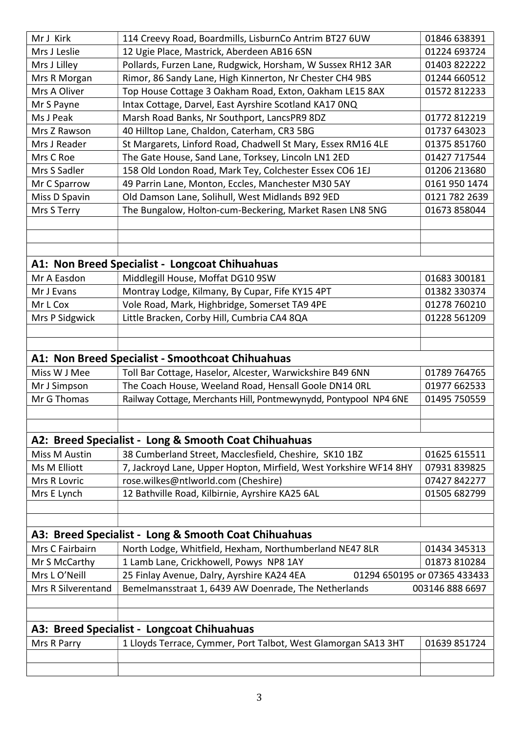| Mr J Kirk          | 114 Creevy Road, Boardmills, LisburnCo Antrim BT27 6UW                                             | 01846 638391                                    |
|--------------------|----------------------------------------------------------------------------------------------------|-------------------------------------------------|
| Mrs J Leslie       | 12 Ugie Place, Mastrick, Aberdeen AB16 6SN                                                         | 01224 693724                                    |
| Mrs J Lilley       | Pollards, Furzen Lane, Rudgwick, Horsham, W Sussex RH12 3AR                                        | 01403 822222                                    |
| Mrs R Morgan       | Rimor, 86 Sandy Lane, High Kinnerton, Nr Chester CH4 9BS                                           | 01244 660512                                    |
| Mrs A Oliver       | Top House Cottage 3 Oakham Road, Exton, Oakham LE15 8AX                                            | 01572 812233                                    |
| Mr S Payne         | Intax Cottage, Darvel, East Ayrshire Scotland KA17 ONQ                                             |                                                 |
| Ms J Peak          | Marsh Road Banks, Nr Southport, LancsPR9 8DZ                                                       | 01772 812219                                    |
| Mrs Z Rawson       | 40 Hilltop Lane, Chaldon, Caterham, CR3 5BG                                                        | 01737 643023                                    |
| Mrs J Reader       | St Margarets, Linford Road, Chadwell St Mary, Essex RM16 4LE                                       | 01375 851760                                    |
| Mrs C Roe          | The Gate House, Sand Lane, Torksey, Lincoln LN1 2ED                                                | 01427 717544                                    |
| Mrs S Sadler       | 158 Old London Road, Mark Tey, Colchester Essex CO6 1EJ                                            | 01206 213680                                    |
| Mr C Sparrow       | 49 Parrin Lane, Monton, Eccles, Manchester M30 5AY                                                 | 0161 950 1474                                   |
| Miss D Spavin      | Old Damson Lane, Solihull, West Midlands B92 9ED                                                   | 0121 782 2639                                   |
| Mrs S Terry        | The Bungalow, Holton-cum-Beckering, Market Rasen LN8 5NG                                           | 01673 858044                                    |
|                    |                                                                                                    |                                                 |
|                    |                                                                                                    |                                                 |
|                    |                                                                                                    |                                                 |
|                    | A1: Non Breed Specialist - Longcoat Chihuahuas                                                     |                                                 |
| Mr A Easdon        | Middlegill House, Moffat DG10 9SW                                                                  | 01683 300181                                    |
| Mr J Evans         | Montray Lodge, Kilmany, By Cupar, Fife KY15 4PT                                                    | 01382 330374                                    |
| Mr L Cox           | Vole Road, Mark, Highbridge, Somerset TA9 4PE                                                      | 01278 760210                                    |
| Mrs P Sidgwick     | Little Bracken, Corby Hill, Cumbria CA4 8QA                                                        | 01228 561209                                    |
|                    |                                                                                                    |                                                 |
|                    |                                                                                                    |                                                 |
|                    | A1: Non Breed Specialist - Smoothcoat Chihuahuas                                                   |                                                 |
| Miss W J Mee       | Toll Bar Cottage, Haselor, Alcester, Warwickshire B49 6NN                                          | 01789 764765                                    |
| Mr J Simpson       | The Coach House, Weeland Road, Hensall Goole DN14 ORL                                              | 01977 662533                                    |
| Mr G Thomas        | Railway Cottage, Merchants Hill, Pontmewynydd, Pontypool NP4 6NE                                   | 01495 750559                                    |
|                    |                                                                                                    |                                                 |
|                    |                                                                                                    |                                                 |
|                    | A2: Breed Specialist - Long & Smooth Coat Chihuahuas                                               |                                                 |
| Miss M Austin      | 38 Cumberland Street, Macclesfield, Cheshire, SK10 1BZ                                             | 01625 615511                                    |
| Ms M Elliott       | 7, Jackroyd Lane, Upper Hopton, Mirfield, West Yorkshire WF14 8HY                                  | 07931839825                                     |
| Mrs R Lovric       | rose.wilkes@ntlworld.com (Cheshire)                                                                | 07427 842277                                    |
| Mrs E Lynch        | 12 Bathville Road, Kilbirnie, Ayrshire KA25 6AL                                                    | 01505 682799                                    |
|                    |                                                                                                    |                                                 |
|                    |                                                                                                    |                                                 |
|                    | A3: Breed Specialist - Long & Smooth Coat Chihuahuas                                               |                                                 |
| Mrs C Fairbairn    | North Lodge, Whitfield, Hexham, Northumberland NE47 8LR                                            | 01434 345313                                    |
| Mr S McCarthy      | 1 Lamb Lane, Crickhowell, Powys NP8 1AY                                                            | 01873 810284                                    |
| Mrs L O'Neill      |                                                                                                    |                                                 |
| Mrs R Silverentand | 25 Finlay Avenue, Dalry, Ayrshire KA24 4EA<br>Bemelmansstraat 1, 6439 AW Doenrade, The Netherlands | 01294 650195 or 07365 433433<br>003146 888 6697 |
|                    |                                                                                                    |                                                 |
|                    |                                                                                                    |                                                 |
|                    | A3: Breed Specialist - Longcoat Chihuahuas                                                         |                                                 |
|                    |                                                                                                    | 01639 851724                                    |
| Mrs R Parry        | 1 Lloyds Terrace, Cymmer, Port Talbot, West Glamorgan SA13 3HT                                     |                                                 |
|                    |                                                                                                    |                                                 |
|                    |                                                                                                    |                                                 |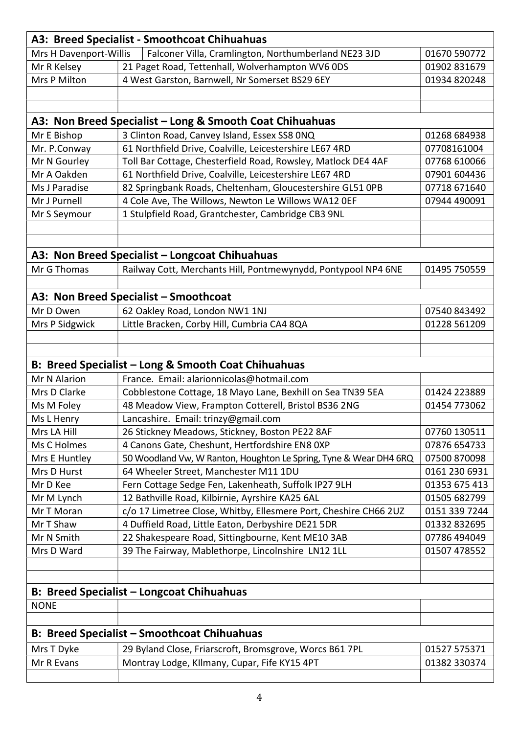| A3: Breed Specialist - Smoothcoat Chihuahuas       |                                                                   |               |
|----------------------------------------------------|-------------------------------------------------------------------|---------------|
| Mrs H Davenport-Willis                             | Falconer Villa, Cramlington, Northumberland NE23 3JD              | 01670 590772  |
| Mr R Kelsey                                        | 21 Paget Road, Tettenhall, Wolverhampton WV6 0DS                  | 01902 831679  |
| Mrs P Milton                                       | 4 West Garston, Barnwell, Nr Somerset BS29 6EY                    | 01934 820248  |
|                                                    |                                                                   |               |
|                                                    |                                                                   |               |
|                                                    | A3: Non Breed Specialist – Long & Smooth Coat Chihuahuas          |               |
| Mr E Bishop                                        | 3 Clinton Road, Canvey Island, Essex SS8 0NQ                      | 01268 684938  |
| Mr. P.Conway                                       | 61 Northfield Drive, Coalville, Leicestershire LE67 4RD           | 07708161004   |
| Mr N Gourley                                       | Toll Bar Cottage, Chesterfield Road, Rowsley, Matlock DE4 4AF     | 07768 610066  |
| Mr A Oakden                                        | 61 Northfield Drive, Coalville, Leicestershire LE67 4RD           | 07901 604436  |
| Ms J Paradise                                      | 82 Springbank Roads, Cheltenham, Gloucestershire GL51 OPB         | 07718 671640  |
| Mr J Purnell                                       | 4 Cole Ave, The Willows, Newton Le Willows WA12 OEF               | 07944 490091  |
| Mr S Seymour                                       | 1 Stulpfield Road, Grantchester, Cambridge CB3 9NL                |               |
|                                                    |                                                                   |               |
|                                                    |                                                                   |               |
|                                                    | A3: Non Breed Specialist - Longcoat Chihuahuas                    |               |
| Mr G Thomas                                        | Railway Cott, Merchants Hill, Pontmewynydd, Pontypool NP4 6NE     | 01495 750559  |
|                                                    |                                                                   |               |
|                                                    | A3: Non Breed Specialist - Smoothcoat                             |               |
| Mr D Owen                                          | 62 Oakley Road, London NW1 1NJ                                    | 07540 843492  |
| Mrs P Sidgwick                                     | Little Bracken, Corby Hill, Cumbria CA4 8QA                       | 01228 561209  |
|                                                    |                                                                   |               |
|                                                    |                                                                   |               |
|                                                    | B: Breed Specialist - Long & Smooth Coat Chihuahuas               |               |
| Mr N Alarion                                       | France. Email: alarionnicolas@hotmail.com                         |               |
| Mrs D Clarke                                       | Cobblestone Cottage, 18 Mayo Lane, Bexhill on Sea TN39 5EA        | 01424 223889  |
| Ms M Foley                                         | 48 Meadow View, Frampton Cotterell, Bristol BS36 2NG              | 01454 773062  |
| Ms L Henry                                         | Lancashire. Email: trinzy@gmail.com                               |               |
| Mrs LA Hill                                        | 26 Stickney Meadows, Stickney, Boston PE22 8AF                    | 07760 130511  |
| Ms C Holmes                                        | 4 Canons Gate, Cheshunt, Hertfordshire EN8 0XP                    | 07876 654733  |
| Mrs E Huntley                                      | 50 Woodland Vw, W Ranton, Houghton Le Spring, Tyne & Wear DH4 6RQ | 07500 870098  |
| Mrs D Hurst                                        | 64 Wheeler Street, Manchester M11 1DU                             | 0161 230 6931 |
| Mr D Kee                                           | Fern Cottage Sedge Fen, Lakenheath, Suffolk IP27 9LH              | 01353 675 413 |
| Mr M Lynch                                         | 12 Bathville Road, Kilbirnie, Ayrshire KA25 6AL                   | 01505 682799  |
| Mr T Moran                                         | c/o 17 Limetree Close, Whitby, Ellesmere Port, Cheshire CH66 2UZ  | 0151 339 7244 |
| Mr T Shaw                                          | 4 Duffield Road, Little Eaton, Derbyshire DE21 5DR                | 01332 832695  |
| Mr N Smith                                         | 22 Shakespeare Road, Sittingbourne, Kent ME10 3AB                 | 07786 494049  |
| Mrs D Ward                                         | 39 The Fairway, Mablethorpe, Lincolnshire LN12 1LL                | 01507 478552  |
|                                                    |                                                                   |               |
|                                                    |                                                                   |               |
|                                                    | <b>B: Breed Specialist - Longcoat Chihuahuas</b>                  |               |
| <b>NONE</b>                                        |                                                                   |               |
|                                                    |                                                                   |               |
| <b>B: Breed Specialist - Smoothcoat Chihuahuas</b> |                                                                   |               |
| Mrs T Dyke                                         | 29 Byland Close, Friarscroft, Bromsgrove, Worcs B61 7PL           | 01527 575371  |
|                                                    | Montray Lodge, Kllmany, Cupar, Fife KY15 4PT                      | 01382 330374  |
| Mr R Evans                                         |                                                                   |               |
|                                                    |                                                                   |               |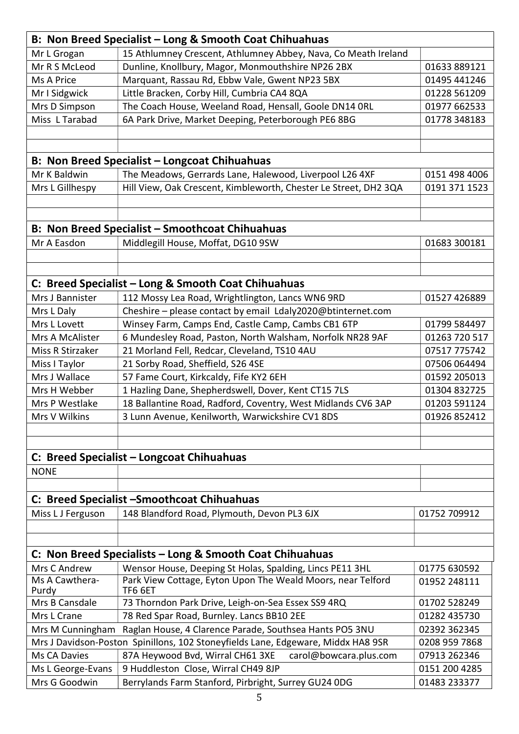| B: Non Breed Specialist - Long & Smooth Coat Chihuahuas  |                                                                                  |               |
|----------------------------------------------------------|----------------------------------------------------------------------------------|---------------|
| Mr L Grogan                                              | 15 Athlumney Crescent, Athlumney Abbey, Nava, Co Meath Ireland                   |               |
| Mr R S McLeod                                            | Dunline, Knollbury, Magor, Monmouthshire NP26 2BX                                | 01633 889121  |
| Ms A Price                                               | Marquant, Rassau Rd, Ebbw Vale, Gwent NP23 5BX                                   | 01495 441246  |
| Mr I Sidgwick                                            | Little Bracken, Corby Hill, Cumbria CA4 8QA                                      | 01228 561209  |
| Mrs D Simpson                                            | The Coach House, Weeland Road, Hensall, Goole DN14 ORL                           | 01977 662533  |
| Miss L Tarabad                                           | 6A Park Drive, Market Deeping, Peterborough PE6 8BG                              | 01778 348183  |
|                                                          |                                                                                  |               |
|                                                          |                                                                                  |               |
|                                                          | B: Non Breed Specialist - Longcoat Chihuahuas                                    |               |
| Mr K Baldwin                                             | The Meadows, Gerrards Lane, Halewood, Liverpool L26 4XF                          | 0151 498 4006 |
| Mrs L Gillhespy                                          | Hill View, Oak Crescent, Kimbleworth, Chester Le Street, DH2 3QA                 | 0191 371 1523 |
|                                                          |                                                                                  |               |
|                                                          |                                                                                  |               |
|                                                          | B: Non Breed Specialist - Smoothcoat Chihuahuas                                  |               |
| Mr A Easdon                                              | Middlegill House, Moffat, DG10 9SW                                               | 01683 300181  |
|                                                          |                                                                                  |               |
|                                                          |                                                                                  |               |
|                                                          | C: Breed Specialist - Long & Smooth Coat Chihuahuas                              |               |
| Mrs J Bannister                                          | 112 Mossy Lea Road, Wrightlington, Lancs WN6 9RD                                 | 01527 426889  |
| Mrs L Daly                                               | Cheshire - please contact by email Ldaly2020@btinternet.com                      |               |
| Mrs L Lovett                                             |                                                                                  |               |
|                                                          | Winsey Farm, Camps End, Castle Camp, Cambs CB1 6TP                               | 01799 584497  |
| Mrs A McAlister                                          | 6 Mundesley Road, Paston, North Walsham, Norfolk NR28 9AF                        | 01263 720 517 |
| Miss R Stirzaker                                         | 21 Morland Fell, Redcar, Cleveland, TS10 4AU                                     | 07517 775742  |
| Miss I Taylor                                            | 21 Sorby Road, Sheffield, S26 4SE                                                | 07506 064494  |
| Mrs J Wallace                                            | 57 Fame Court, Kirkcaldy, Fife KY2 6EH                                           | 01592 205013  |
| Mrs H Webber                                             | 1 Hazling Dane, Shepherdswell, Dover, Kent CT15 7LS                              | 01304 832725  |
| Mrs P Westlake                                           | 18 Ballantine Road, Radford, Coventry, West Midlands CV6 3AP                     | 01203 591124  |
| Mrs V Wilkins                                            | 3 Lunn Avenue, Kenilworth, Warwickshire CV1 8DS                                  | 01926 852412  |
|                                                          |                                                                                  |               |
|                                                          |                                                                                  |               |
|                                                          | C: Breed Specialist - Longcoat Chihuahuas                                        |               |
| <b>NONE</b>                                              |                                                                                  |               |
|                                                          |                                                                                  |               |
|                                                          | C: Breed Specialist - Smoothcoat Chihuahuas                                      |               |
| Miss L J Ferguson                                        | 148 Blandford Road, Plymouth, Devon PL3 6JX                                      | 01752 709912  |
|                                                          |                                                                                  |               |
|                                                          |                                                                                  |               |
| C: Non Breed Specialists – Long & Smooth Coat Chihuahuas |                                                                                  |               |
| Mrs C Andrew                                             | Wensor House, Deeping St Holas, Spalding, Lincs PE11 3HL                         | 01775 630592  |
| Ms A Cawthera-                                           | Park View Cottage, Eyton Upon The Weald Moors, near Telford                      | 01952 248111  |
| Purdy<br>Mrs B Cansdale                                  | TF6 6ET                                                                          |               |
|                                                          | 73 Thorndon Park Drive, Leigh-on-Sea Essex SS9 4RQ                               | 01702 528249  |
| Mrs L Crane                                              | 78 Red Spar Road, Burnley. Lancs BB10 2EE                                        | 01282 435730  |
| Mrs M Cunningham                                         | Raglan House, 4 Clarence Parade, Southsea Hants PO5 3NU                          | 02392 362345  |
|                                                          | Mrs J Davidson-Poston Spinillons, 102 Stoneyfields Lane, Edgeware, Middx HA8 9SR | 0208 959 7868 |
| Ms CA Davies                                             | 87A Heywood Bvd, Wirral CH61 3XE<br>carol@bowcara.plus.com                       | 07913 262346  |
| Ms L George-Evans                                        | 9 Huddleston Close, Wirral CH49 8JP                                              | 0151 200 4285 |
| Mrs G Goodwin                                            | Berrylands Farm Stanford, Pirbright, Surrey GU24 0DG                             | 01483 233377  |